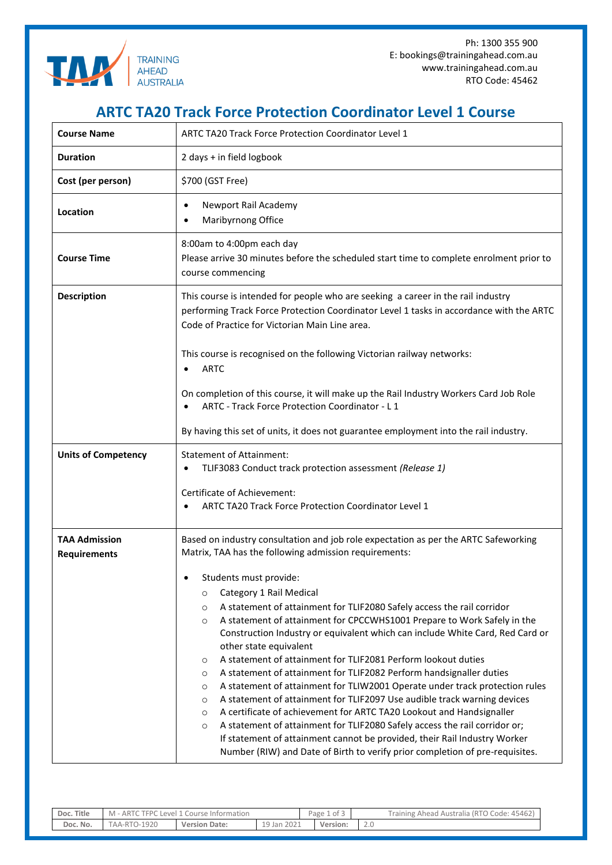

Ph: 1300 355 900 E: bookings@trainingahead.com.au www.trainingahead.com.au RTO Code: 45462

## **ARTC TA20 Track Force Protection Coordinator Level 1 Course**

| <b>Course Name</b>                          | <b>ARTC TA20 Track Force Protection Coordinator Level 1</b>                                                                                                                                                                                                                                                                                                                                                                                                                                                                                                                                                                                                                                                                                                                                                                                                                                                                                                                                                                                |  |  |  |  |  |  |  |
|---------------------------------------------|--------------------------------------------------------------------------------------------------------------------------------------------------------------------------------------------------------------------------------------------------------------------------------------------------------------------------------------------------------------------------------------------------------------------------------------------------------------------------------------------------------------------------------------------------------------------------------------------------------------------------------------------------------------------------------------------------------------------------------------------------------------------------------------------------------------------------------------------------------------------------------------------------------------------------------------------------------------------------------------------------------------------------------------------|--|--|--|--|--|--|--|
| <b>Duration</b>                             | 2 days + in field logbook                                                                                                                                                                                                                                                                                                                                                                                                                                                                                                                                                                                                                                                                                                                                                                                                                                                                                                                                                                                                                  |  |  |  |  |  |  |  |
| Cost (per person)                           | \$700 (GST Free)                                                                                                                                                                                                                                                                                                                                                                                                                                                                                                                                                                                                                                                                                                                                                                                                                                                                                                                                                                                                                           |  |  |  |  |  |  |  |
| Location                                    | Newport Rail Academy<br>Maribyrnong Office                                                                                                                                                                                                                                                                                                                                                                                                                                                                                                                                                                                                                                                                                                                                                                                                                                                                                                                                                                                                 |  |  |  |  |  |  |  |
| <b>Course Time</b>                          | 8:00am to 4:00pm each day<br>Please arrive 30 minutes before the scheduled start time to complete enrolment prior to<br>course commencing                                                                                                                                                                                                                                                                                                                                                                                                                                                                                                                                                                                                                                                                                                                                                                                                                                                                                                  |  |  |  |  |  |  |  |
| <b>Description</b>                          | This course is intended for people who are seeking a career in the rail industry<br>performing Track Force Protection Coordinator Level 1 tasks in accordance with the ARTC<br>Code of Practice for Victorian Main Line area.                                                                                                                                                                                                                                                                                                                                                                                                                                                                                                                                                                                                                                                                                                                                                                                                              |  |  |  |  |  |  |  |
|                                             | This course is recognised on the following Victorian railway networks:<br><b>ARTC</b>                                                                                                                                                                                                                                                                                                                                                                                                                                                                                                                                                                                                                                                                                                                                                                                                                                                                                                                                                      |  |  |  |  |  |  |  |
|                                             | On completion of this course, it will make up the Rail Industry Workers Card Job Role<br>ARTC - Track Force Protection Coordinator - L 1                                                                                                                                                                                                                                                                                                                                                                                                                                                                                                                                                                                                                                                                                                                                                                                                                                                                                                   |  |  |  |  |  |  |  |
|                                             | By having this set of units, it does not guarantee employment into the rail industry.                                                                                                                                                                                                                                                                                                                                                                                                                                                                                                                                                                                                                                                                                                                                                                                                                                                                                                                                                      |  |  |  |  |  |  |  |
| <b>Units of Competency</b>                  | <b>Statement of Attainment:</b><br>TLIF3083 Conduct track protection assessment (Release 1)<br>Certificate of Achievement:<br>ARTC TA20 Track Force Protection Coordinator Level 1                                                                                                                                                                                                                                                                                                                                                                                                                                                                                                                                                                                                                                                                                                                                                                                                                                                         |  |  |  |  |  |  |  |
| <b>TAA Admission</b><br><b>Requirements</b> | Based on industry consultation and job role expectation as per the ARTC Safeworking<br>Matrix, TAA has the following admission requirements:                                                                                                                                                                                                                                                                                                                                                                                                                                                                                                                                                                                                                                                                                                                                                                                                                                                                                               |  |  |  |  |  |  |  |
|                                             | Students must provide:<br>Category 1 Rail Medical<br>$\circ$<br>A statement of attainment for TLIF2080 Safely access the rail corridor<br>$\circ$<br>A statement of attainment for CPCCWHS1001 Prepare to Work Safely in the<br>$\circ$<br>Construction Industry or equivalent which can include White Card, Red Card or<br>other state equivalent<br>A statement of attainment for TLIF2081 Perform lookout duties<br>$\circ$<br>A statement of attainment for TLIF2082 Perform handsignaller duties<br>$\circ$<br>A statement of attainment for TLIW2001 Operate under track protection rules<br>$\circ$<br>A statement of attainment for TLIF2097 Use audible track warning devices<br>$\circ$<br>A certificate of achievement for ARTC TA20 Lookout and Handsignaller<br>$\circ$<br>A statement of attainment for TLIF2080 Safely access the rail corridor or;<br>$\circ$<br>If statement of attainment cannot be provided, their Rail Industry Worker<br>Number (RIW) and Date of Birth to verify prior completion of pre-requisites. |  |  |  |  |  |  |  |

| Doc. Title | TFPC Level:<br>ARTC<br>l 1 Course Information<br>M |                      |             | Page 1 of 5 |          |        | Training Ahead Australia (RTO Code: 45462) |
|------------|----------------------------------------------------|----------------------|-------------|-------------|----------|--------|--------------------------------------------|
| Doc. No.   | <b>TAA-RTO-1920</b>                                | <b>Version Date:</b> | 19 Jan 2021 |             | Version: | $\sim$ |                                            |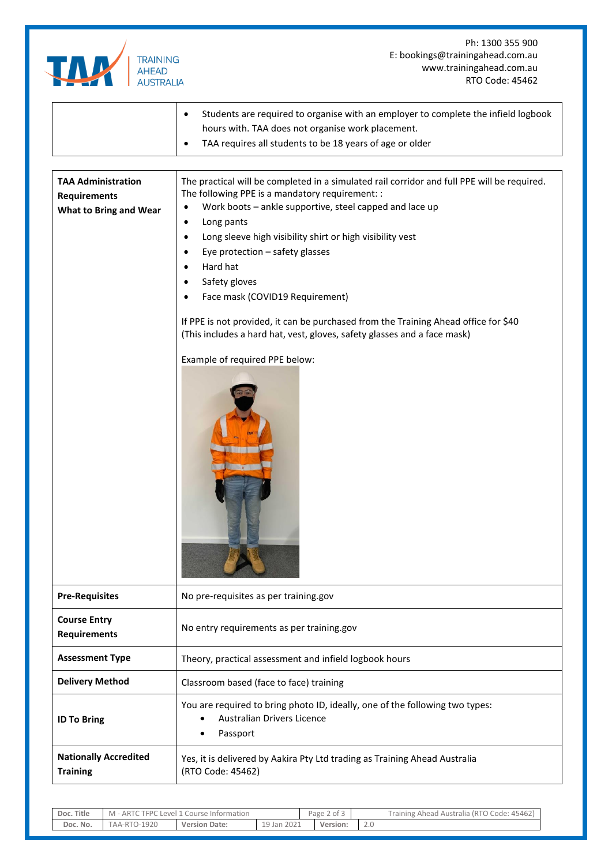|                                                 | Ph: 1300 355 900                                                                                                                                                |  |  |  |  |  |  |  |
|-------------------------------------------------|-----------------------------------------------------------------------------------------------------------------------------------------------------------------|--|--|--|--|--|--|--|
| <b>TRAINING</b>                                 | E: bookings@trainingahead.com.au                                                                                                                                |  |  |  |  |  |  |  |
| <b>AHEAD</b>                                    | www.trainingahead.com.au                                                                                                                                        |  |  |  |  |  |  |  |
| <b>AUSTRALIA</b>                                | RTO Code: 45462                                                                                                                                                 |  |  |  |  |  |  |  |
|                                                 | Students are required to organise with an employer to complete the infield logbook<br>hours with. TAA does not organise work placement.                         |  |  |  |  |  |  |  |
|                                                 | TAA requires all students to be 18 years of age or older                                                                                                        |  |  |  |  |  |  |  |
|                                                 |                                                                                                                                                                 |  |  |  |  |  |  |  |
| <b>TAA Administration</b>                       | The practical will be completed in a simulated rail corridor and full PPE will be required.                                                                     |  |  |  |  |  |  |  |
| <b>Requirements</b>                             | The following PPE is a mandatory requirement: :                                                                                                                 |  |  |  |  |  |  |  |
| <b>What to Bring and Wear</b>                   | Work boots - ankle supportive, steel capped and lace up<br>$\bullet$                                                                                            |  |  |  |  |  |  |  |
|                                                 | Long pants<br>$\bullet$                                                                                                                                         |  |  |  |  |  |  |  |
|                                                 | Long sleeve high visibility shirt or high visibility vest<br>$\bullet$                                                                                          |  |  |  |  |  |  |  |
|                                                 | Eye protection - safety glasses<br>$\bullet$                                                                                                                    |  |  |  |  |  |  |  |
|                                                 | Hard hat                                                                                                                                                        |  |  |  |  |  |  |  |
|                                                 | Safety gloves<br>$\bullet$                                                                                                                                      |  |  |  |  |  |  |  |
|                                                 | Face mask (COVID19 Requirement)                                                                                                                                 |  |  |  |  |  |  |  |
|                                                 | If PPE is not provided, it can be purchased from the Training Ahead office for \$40<br>(This includes a hard hat, vest, gloves, safety glasses and a face mask) |  |  |  |  |  |  |  |
|                                                 | Example of required PPE below:                                                                                                                                  |  |  |  |  |  |  |  |
| <b>Pre-Requisites</b>                           | No pre-requisites as per training.gov                                                                                                                           |  |  |  |  |  |  |  |
| <b>Course Entry</b><br><b>Requirements</b>      | No entry requirements as per training.gov                                                                                                                       |  |  |  |  |  |  |  |
| <b>Assessment Type</b>                          | Theory, practical assessment and infield logbook hours                                                                                                          |  |  |  |  |  |  |  |
| <b>Delivery Method</b>                          | Classroom based (face to face) training                                                                                                                         |  |  |  |  |  |  |  |
| <b>ID To Bring</b>                              | You are required to bring photo ID, ideally, one of the following two types:<br><b>Australian Drivers Licence</b><br>Passport                                   |  |  |  |  |  |  |  |
| <b>Nationally Accredited</b><br><b>Training</b> | Yes, it is delivered by Aakira Pty Ltd trading as Training Ahead Australia<br>(RTO Code: 45462)                                                                 |  |  |  |  |  |  |  |
|                                                 |                                                                                                                                                                 |  |  |  |  |  |  |  |

| Doc. Title | M - ARTC TFPC Level 1 Course Information |                      |             | Page 2 of 3 |          | Training Ahead Australia (RTO Code: 45462) |
|------------|------------------------------------------|----------------------|-------------|-------------|----------|--------------------------------------------|
| Doc. No.   | TAA-RTO-1920                             | <b>Version Date:</b> | 19 Jan 2021 |             | Version: |                                            |